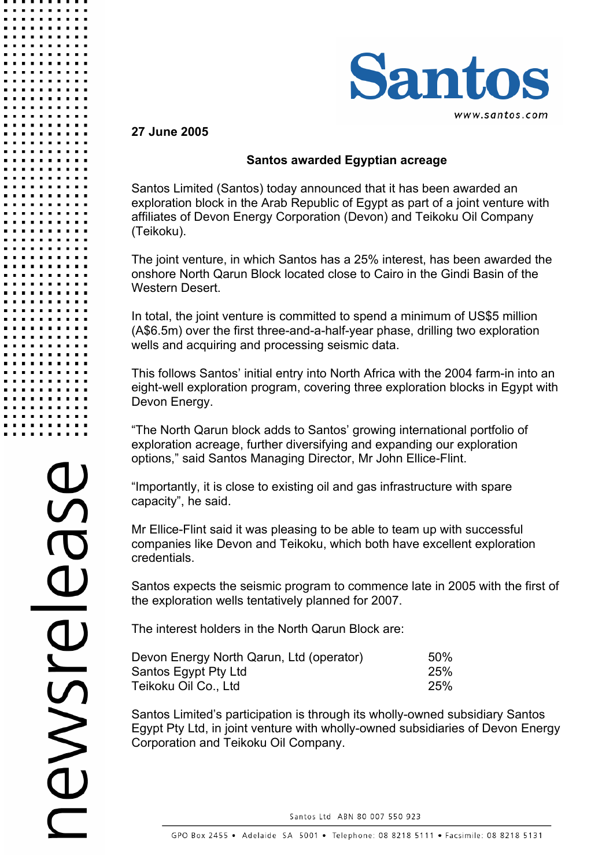

### **27 June 2005**

## **Santos awarded Egyptian acreage**

Santos Limited (Santos) today announced that it has been awarded an exploration block in the Arab Republic of Egypt as part of a joint venture with affiliates of Devon Energy Corporation (Devon) and Teikoku Oil Company (Teikoku).

The joint venture, in which Santos has a 25% interest, has been awarded the onshore North Qarun Block located close to Cairo in the Gindi Basin of the Western Desert.

In total, the joint venture is committed to spend a minimum of US\$5 million (A\$6.5m) over the first three-and-a-half-year phase, drilling two exploration wells and acquiring and processing seismic data.

This follows Santos' initial entry into North Africa with the 2004 farm-in into an eight-well exploration program, covering three exploration blocks in Egypt with Devon Energy.

"The North Qarun block adds to Santos' growing international portfolio of exploration acreage, further diversifying and expanding our exploration options," said Santos Managing Director, Mr John Ellice-Flint.

"Importantly, it is close to existing oil and gas infrastructure with spare capacity", he said.

Mr Ellice-Flint said it was pleasing to be able to team up with successful companies like Devon and Teikoku, which both have excellent exploration credentials.

Santos expects the seismic program to commence late in 2005 with the first of the exploration wells tentatively planned for 2007.

The interest holders in the North Qarun Block are:

| Devon Energy North Qarun, Ltd (operator) | <b>50%</b> |
|------------------------------------------|------------|
| Santos Egypt Pty Ltd                     | 25%        |
| Teikoku Oil Co., Ltd                     | 25%        |

Santos Limited's participation is through its wholly-owned subsidiary Santos Egypt Pty Ltd, in joint venture with wholly-owned subsidiaries of Devon Energy Corporation and Teikoku Oil Company.

Santos Ltd ABN 80 007 550 923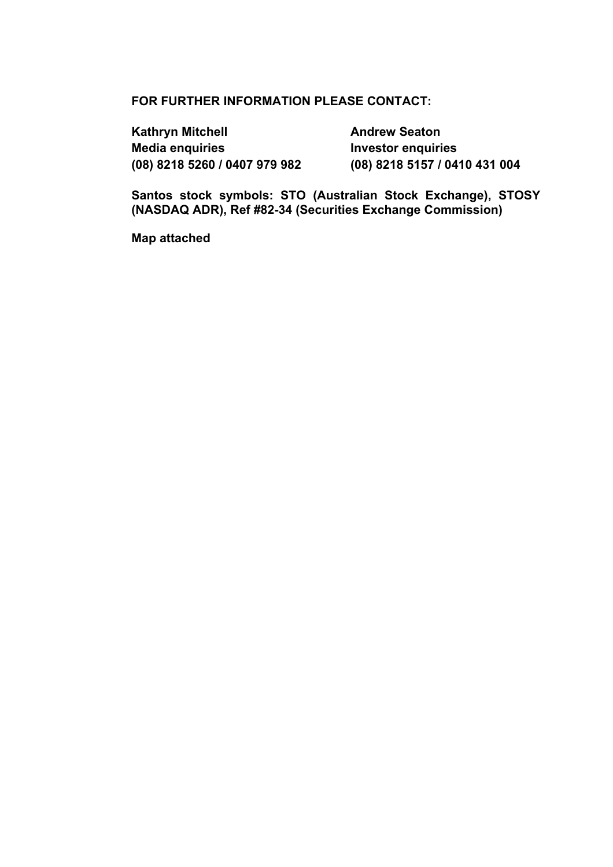### **FOR FURTHER INFORMATION PLEASE CONTACT:**

**Kathryn Mitchell <b>Andrew Seaton Andrew Seaton Media enquiries investor enquiries (08) 8218 5260 / 0407 979 982 (08) 8218 5157 / 0410 431 004** 

**Santos stock symbols: STO (Australian Stock Exchange), STOSY (NASDAQ ADR), Ref #82-34 (Securities Exchange Commission)** 

**Map attached**